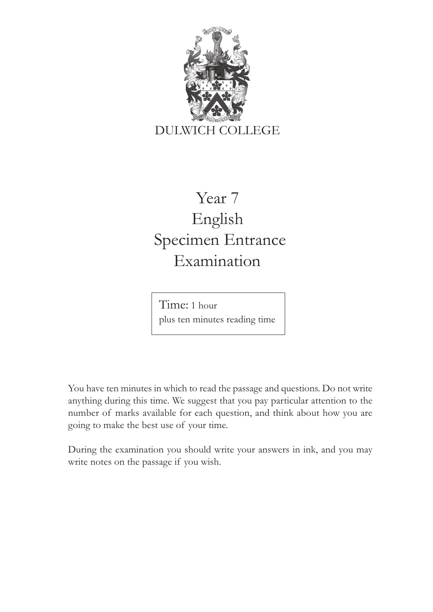

## Year 7 English Specimen Entrance Examination

Time: 1 hour plus ten minutes reading time

You have ten minutes in which to read the passage and questions. Do not write anything during this time. We suggest that you pay particular attention to the number of marks available for each question, and think about how you are going to make the best use of your time.

During the examination you should write your answers in ink, and you may write notes on the passage if you wish.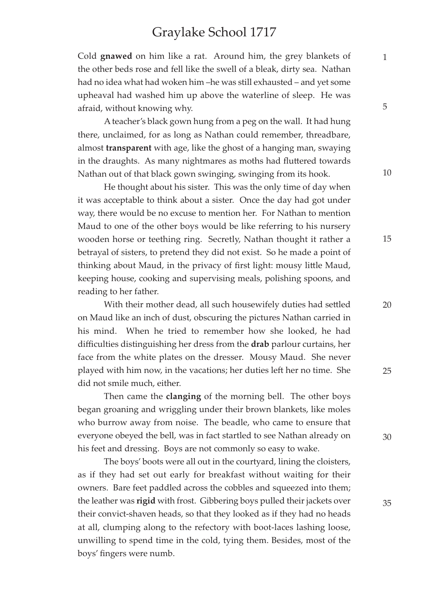## Graylake School 1717

Cold **gnawed** on him like a rat. Around him, the grey blankets of the other beds rose and fell like the swell of a bleak, dirty sea. Nathan had no idea what had woken him –he was still exhausted – and yet some upheaval had washed him up above the waterline of sleep. He was afraid, without knowing why.

A teacher's black gown hung from a peg on the wall. It had hung there, unclaimed, for as long as Nathan could remember, threadbare, almost **transparent** with age, like the ghost of a hanging man, swaying in the draughts. As many nightmares as moths had fluttered towards Nathan out of that black gown swinging, swinging from its hook.

He thought about his sister. This was the only time of day when it was acceptable to think about a sister. Once the day had got under way, there would be no excuse to mention her. For Nathan to mention Maud to one of the other boys would be like referring to his nursery wooden horse or teething ring. Secretly, Nathan thought it rather a betrayal of sisters, to pretend they did not exist. So he made a point of thinking about Maud, in the privacy of first light: mousy little Maud, keeping house, cooking and supervising meals, polishing spoons, and reading to her father.

With their mother dead, all such housewifely duties had settled on Maud like an inch of dust, obscuring the pictures Nathan carried in his mind. When he tried to remember how she looked, he had difficulties distinguishing her dress from the **drab** parlour curtains, her face from the white plates on the dresser. Mousy Maud. She never played with him now, in the vacations; her duties left her no time. She did not smile much, either.

Then came the **clanging** of the morning bell. The other boys began groaning and wriggling under their brown blankets, like moles who burrow away from noise. The beadle, who came to ensure that everyone obeyed the bell, was in fact startled to see Nathan already on his feet and dressing. Boys are not commonly so easy to wake.

The boys' boots were all out in the courtyard, lining the cloisters, as if they had set out early for breakfast without waiting for their owners. Bare feet paddled across the cobbles and squeezed into them; the leather was **rigid** with frost. Gibbering boys pulled their jackets over their convict-shaven heads, so that they looked as if they had no heads at all, clumping along to the refectory with boot-laces lashing loose, unwilling to spend time in the cold, tying them. Besides, most of the boys' fingers were numb.

5

1

10

15

25

30

35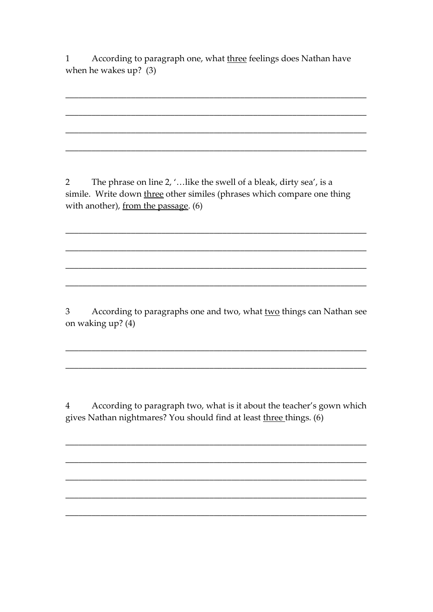According to paragraph one, what three feelings does Nathan have  $\mathbf{1}$ when he wakes  $up$ ? (3)

The phrase on line 2, '... like the swell of a bleak, dirty sea', is a  $\overline{2}$ simile. Write down three other similes (phrases which compare one thing with another), from the passage. (6)

According to paragraphs one and two, what two things can Nathan see  $\mathfrak{Z}$ on waking up? (4)

According to paragraph two, what is it about the teacher's gown which  $\overline{4}$ gives Nathan nightmares? You should find at least three things. (6)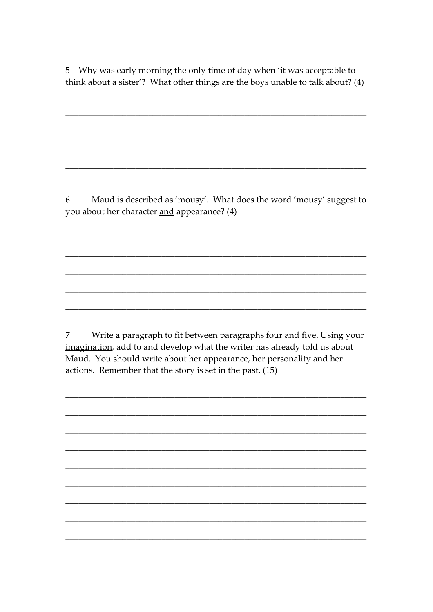5 Why was early morning the only time of day when 'it was acceptable to think about a sister'? What other things are the boys unable to talk about? (4)

6 Maud is described as 'mousy'. What does the word 'mousy' suggest to you about her character and appearance? (4)

 $\overline{7}$ Write a paragraph to fit between paragraphs four and five. Using your imagination, add to and develop what the writer has already told us about Maud. You should write about her appearance, her personality and her actions. Remember that the story is set in the past. (15)

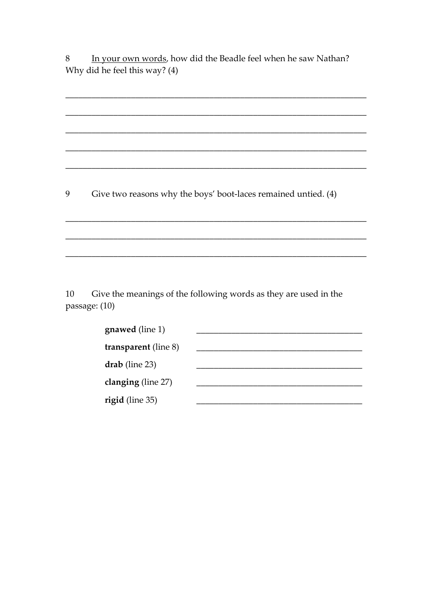In your own words, how did the Beadle feel when he saw Nathan? 8 Why did he feel this way? (4)

9 Give two reasons why the boys' boot-laces remained untied. (4)

Give the meanings of the following words as they are used in the 10 passage: (10)

| <b>gnawed</b> (line 1)      |  |
|-----------------------------|--|
| <b>transparent</b> (line 8) |  |
| $drab$ (line 23)            |  |
| clanging (line 27)          |  |
| rigid (line 35)             |  |